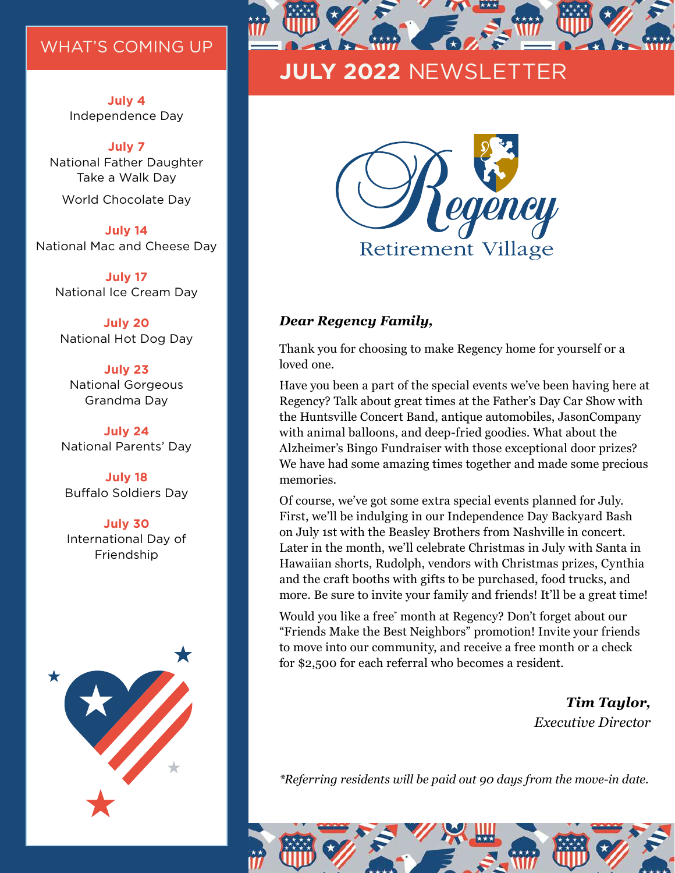#### WHAT'S COMING UP

**July 4** Independence Day

#### **July 7**

National Father Daughter Take a Walk Day

World Chocolate Day

**July 14** National Mac and Cheese Day

**July 17** National Ice Cream Day

**July 20** National Hot Dog Day

**July 23** National Gorgeous Grandma Day

**July 24** National Parents' Day

**July 18** Buffalo Soldiers Day

**July 30** International Day of Friendship





# **JULY 2022** NEWSLETTER



#### *Dear Regency Family,*

Thank you for choosing to make Regency home for yourself or a loved one.

Have you been a part of the special events we've been having here at Regency? Talk about great times at the Father's Day Car Show with the Huntsville Concert Band, antique automobiles, JasonCompany with animal balloons, and deep-fried goodies. What about the Alzheimer's Bingo Fundraiser with those exceptional door prizes? We have had some amazing times together and made some precious memories.

Of course, we've got some extra special events planned for July. First, we'll be indulging in our Independence Day Backyard Bash on July 1st with the Beasley Brothers from Nashville in concert. Later in the month, we'll celebrate Christmas in July with Santa in Hawaiian shorts, Rudolph, vendors with Christmas prizes, Cynthia and the craft booths with gifts to be purchased, food trucks, and more. Be sure to invite your family and friends! It'll be a great time!

Would you like a free\* month at Regency? Don't forget about our "Friends Make the Best Neighbors" promotion! Invite your friends to move into our community, and receive a free month or a check for \$2,500 for each referral who becomes a resident.

> *Tim Taylor, Executive Director*

*\*Referring residents will be paid out 90 days from the move-in date.*

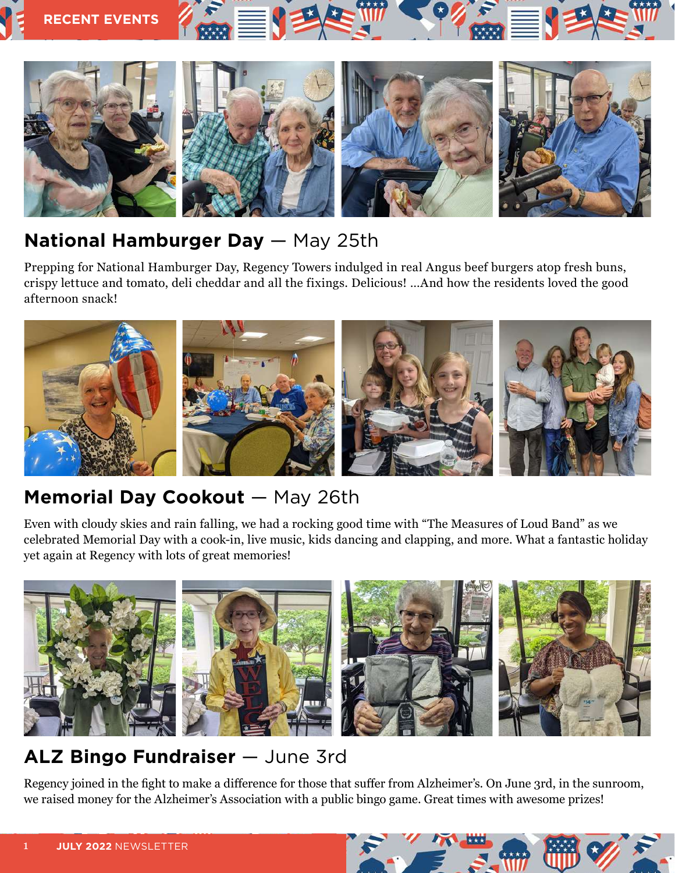

# **National Hamburger Day** — May 25th

Prepping for National Hamburger Day, Regency Towers indulged in real Angus beef burgers atop fresh buns, crispy lettuce and tomato, deli cheddar and all the fixings. Delicious! …And how the residents loved the good afternoon snack!



# Memorial Day Cookout - May 26th

Even with cloudy skies and rain falling, we had a rocking good time with "The Measures of Loud Band" as we celebrated Memorial Day with a cook-in, live music, kids dancing and clapping, and more. What a fantastic holiday yet again at Regency with lots of great memories!



## **ALZ Bingo Fundraiser** — June 3rd

Regency joined in the fight to make a difference for those that suffer from Alzheimer's. On June 3rd, in the sunroom, we raised money for the Alzheimer's Association with a public bingo game. Great times with awesome prizes!

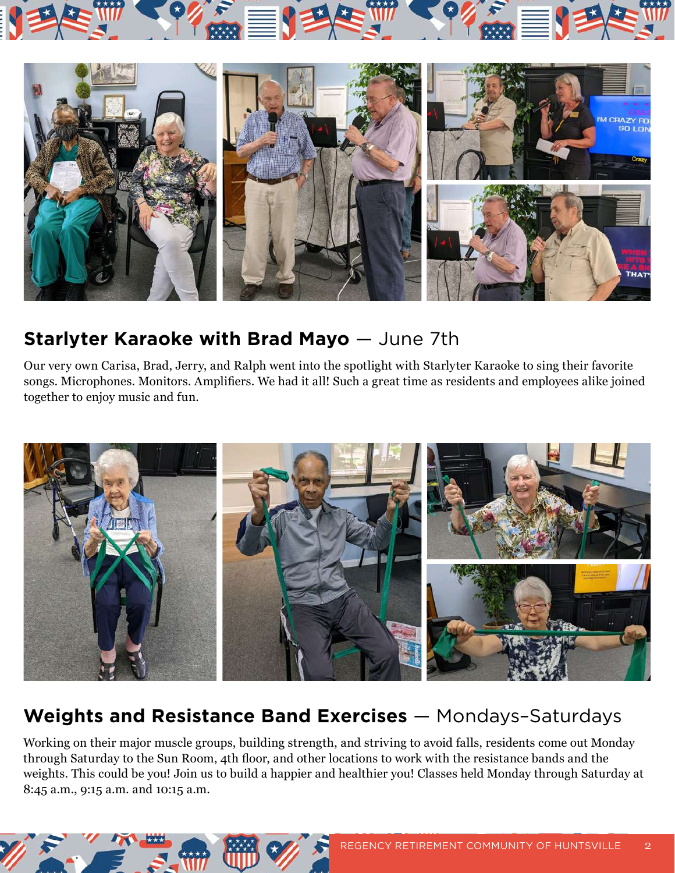

## **Starlyter Karaoke with Brad Mayo** — June 7th

Our very own Carisa, Brad, Jerry, and Ralph went into the spotlight with Starlyter Karaoke to sing their favorite songs. Microphones. Monitors. Amplifiers. We had it all! Such a great time as residents and employees alike joined together to enjoy music and fun.



# **Weights and Resistance Band Exercises** — Mondays–Saturdays

Working on their major muscle groups, building strength, and striving to avoid falls, residents come out Monday through Saturday to the Sun Room, 4th floor, and other locations to work with the resistance bands and the weights. This could be you! Join us to build a happier and healthier you! Classes held Monday through Saturday at 8:45 a.m., 9:15 a.m. and 10:15 a.m.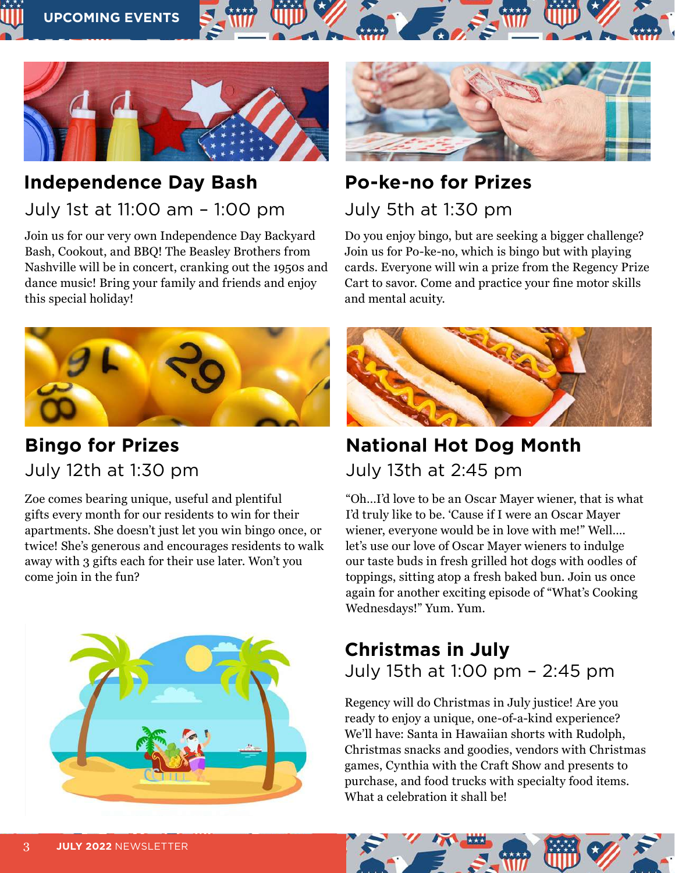

## **Independence Day Bash** July 1st at 11:00 am – 1:00 pm

Join us for our very own Independence Day Backyard Bash, Cookout, and BBQ! The Beasley Brothers from Nashville will be in concert, cranking out the 1950s and dance music! Bring your family and friends and enjoy this special holiday!



#### **Bingo for Prizes** July 12th at 1:30 pm

come join in the fun?

Zoe comes bearing unique, useful and plentiful gifts every month for our residents to win for their apartments. She doesn't just let you win bingo once, or twice! She's generous and encourages residents to walk away with 3 gifts each for their use later. Won't you





# **Po-ke-no for Prizes** July 5th at 1:30 pm

Do you enjoy bingo, but are seeking a bigger challenge? Join us for Po-ke-no, which is bingo but with playing cards. Everyone will win a prize from the Regency Prize Cart to savor. Come and practice your fine motor skills and mental acuity.



# **National Hot Dog Month** July 13th at 2:45 pm

"Oh…I'd love to be an Oscar Mayer wiener, that is what I'd truly like to be. 'Cause if I were an Oscar Mayer wiener, everyone would be in love with me!" Well…. let's use our love of Oscar Mayer wieners to indulge our taste buds in fresh grilled hot dogs with oodles of toppings, sitting atop a fresh baked bun. Join us once again for another exciting episode of "What's Cooking Wednesdays!" Yum. Yum.

#### **Christmas in July** July 15th at 1:00 pm – 2:45 pm

Regency will do Christmas in July justice! Are you ready to enjoy a unique, one-of-a-kind experience? We'll have: Santa in Hawaiian shorts with Rudolph, Christmas snacks and goodies, vendors with Christmas games, Cynthia with the Craft Show and presents to purchase, and food trucks with specialty food items. What a celebration it shall be!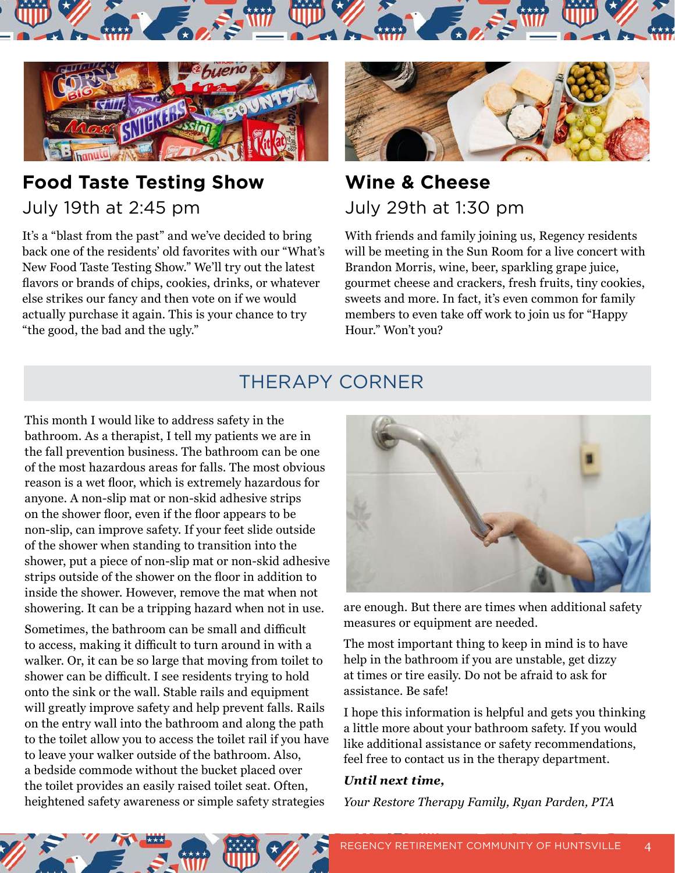



## **Food Taste Testing Show** July 19th at 2:45 pm

It's a "blast from the past" and we've decided to bring back one of the residents' old favorites with our "What's New Food Taste Testing Show." We'll try out the latest flavors or brands of chips, cookies, drinks, or whatever else strikes our fancy and then vote on if we would actually purchase it again. This is your chance to try "the good, the bad and the ugly."



**Wine & Cheese** July 29th at 1:30 pm

With friends and family joining us, Regency residents will be meeting in the Sun Room for a live concert with Brandon Morris, wine, beer, sparkling grape juice, gourmet cheese and crackers, fresh fruits, tiny cookies, sweets and more. In fact, it's even common for family members to even take off work to join us for "Happy Hour." Won't you?

# THERAPY CORNER

This month I would like to address safety in the bathroom. As a therapist, I tell my patients we are in the fall prevention business. The bathroom can be one of the most hazardous areas for falls. The most obvious reason is a wet floor, which is extremely hazardous for anyone. A non-slip mat or non-skid adhesive strips on the shower floor, even if the floor appears to be non-slip, can improve safety. If your feet slide outside of the shower when standing to transition into the shower, put a piece of non-slip mat or non-skid adhesive strips outside of the shower on the floor in addition to inside the shower. However, remove the mat when not showering. It can be a tripping hazard when not in use.

Sometimes, the bathroom can be small and difficult to access, making it difficult to turn around in with a walker. Or, it can be so large that moving from toilet to shower can be difficult. I see residents trying to hold onto the sink or the wall. Stable rails and equipment will greatly improve safety and help prevent falls. Rails on the entry wall into the bathroom and along the path to the toilet allow you to access the toilet rail if you have to leave your walker outside of the bathroom. Also, a bedside commode without the bucket placed over the toilet provides an easily raised toilet seat. Often, heightened safety awareness or simple safety strategies



are enough. But there are times when additional safety measures or equipment are needed.

The most important thing to keep in mind is to have help in the bathroom if you are unstable, get dizzy at times or tire easily. Do not be afraid to ask for assistance. Be safe!

I hope this information is helpful and gets you thinking a little more about your bathroom safety. If you would like additional assistance or safety recommendations, feel free to contact us in the therapy department.

#### *Until next time,*

*Your Restore Therapy Family, Ryan Parden, PTA*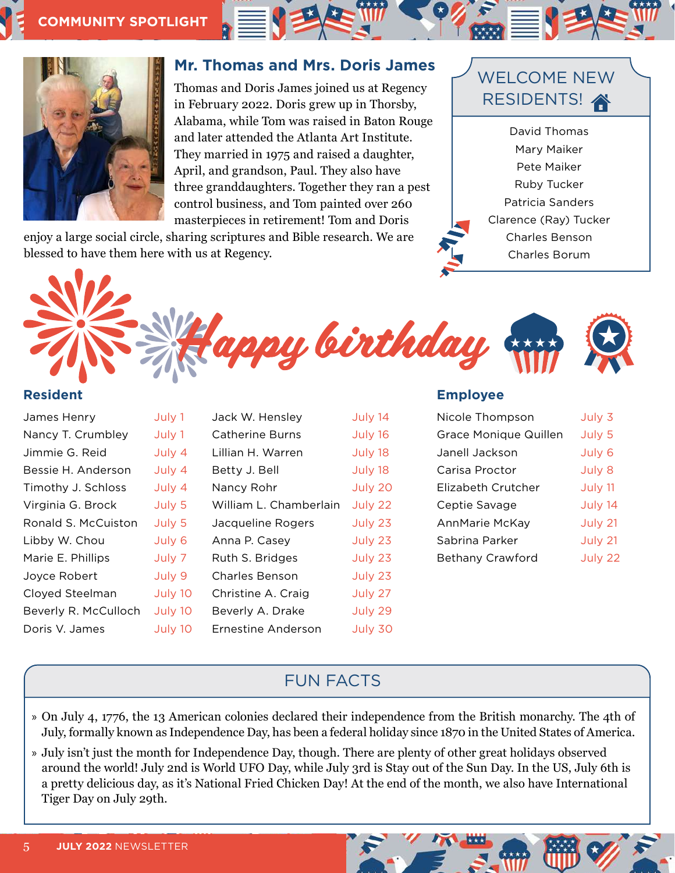

#### **Mr. Thomas and Mrs. Doris James**

Thomas and Doris James joined us at Regency in February 2022. Doris grew up in Thorsby, Alabama, while Tom was raised in Baton Rouge and later attended the Atlanta Art Institute. They married in 1975 and raised a daughter, April, and grandson, Paul. They also have three granddaughters. Together they ran a pest control business, and Tom painted over 260 masterpieces in retirement! Tom and Doris

enjoy a large social circle, sharing scriptures and Bible research. We are blessed to have them here with us at Regency.



David Thomas Mary Maiker Pete Maiker Ruby Tucker Patricia Sanders Clarence (Ray) Tucker Charles Benson Charles Borum



| James Henry          | July 1  | Jack W. Hensley        | July 14 |
|----------------------|---------|------------------------|---------|
| Nancy T. Crumbley    | July 1  | <b>Catherine Burns</b> | July 16 |
| Jimmie G. Reid       | July 4  | Lillian H. Warren      | July 18 |
| Bessie H. Anderson   | July 4  | Betty J. Bell          | July 18 |
| Timothy J. Schloss   | July 4  | Nancy Rohr             | July 20 |
| Virginia G. Brock    | July 5  | William L. Chamberlain | July 22 |
| Ronald S. McCuiston  | July 5  | Jacqueline Rogers      | July 23 |
| Libby W. Chou        | July 6  | Anna P. Casey          | July 23 |
| Marie E. Phillips    | July 7  | Ruth S. Bridges        | July 23 |
| Joyce Robert         | July 9  | <b>Charles Benson</b>  | July 23 |
| Cloyed Steelman      | July 10 | Christine A. Craig     | July 27 |
| Beverly R. McCulloch | July 10 | Beverly A. Drake       | July 29 |
| Doris V. James       | July 10 | Ernestine Anderson     | July 30 |

#### **Resident Employee**

| Nicole Thompson              | July 3  |
|------------------------------|---------|
| <b>Grace Monique Quillen</b> | July 5  |
| Janell Jackson               | July 6  |
| Carisa Proctor               | July 8  |
| Flizabeth Crutcher           | July 11 |
| Ceptie Savage                | July 14 |
| AnnMarie McKay               | July 21 |
| Sabrina Parker               | July 21 |
| <b>Bethany Crawford</b>      | July 22 |

#### FUN FACTS

- » On July 4, 1776, the 13 American colonies declared their independence from the British monarchy. The 4th of July, formally known as Independence Day, has been a federal holiday since 1870 in the United States of America.
- » July isn't just the month for Independence Day, though. There are plenty of other great holidays observed around the world! July 2nd is World UFO Day, while July 3rd is Stay out of the Sun Day. In the US, July 6th is a pretty delicious day, as it's National Fried Chicken Day! At the end of the month, we also have International Tiger Day on July 29th.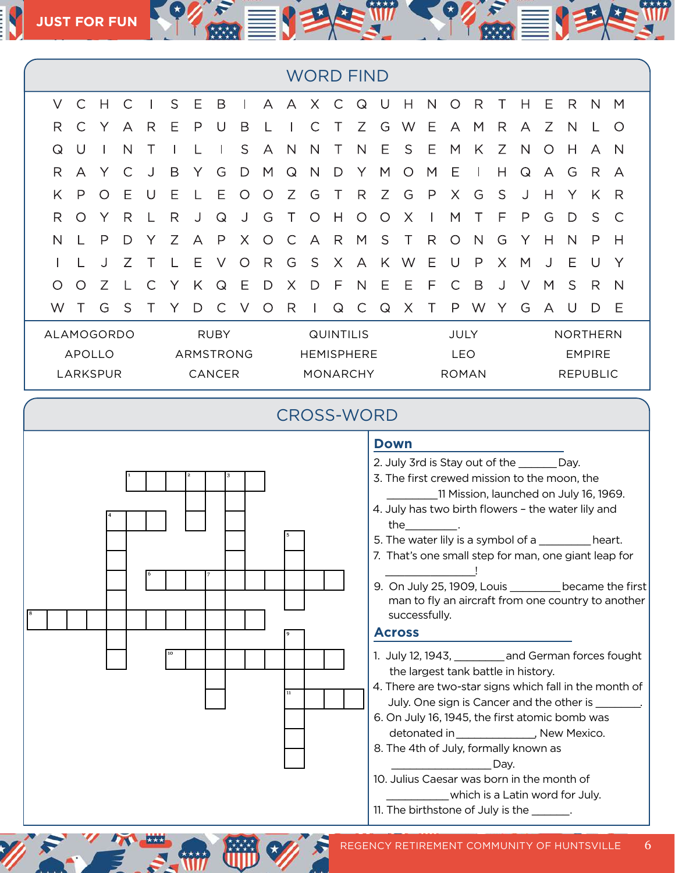|              | <b>WORD FIND</b> |         |           |           |             |   |             |   |         |                   |           |          |              |        |        |              |         |   |   |   |            |                 |   |   |  |  |
|--------------|------------------|---------|-----------|-----------|-------------|---|-------------|---|---------|-------------------|-----------|----------|--------------|--------|--------|--------------|---------|---|---|---|------------|-----------------|---|---|--|--|
| $\vee$       | C                | Н       | $\subset$ |           | S           | Ε | B           |   | A       | A                 | X.        | C        | Q            | $\cup$ | Н      | N            | ∩       | R |   | Н | Ε          | R               | N | М |  |  |
| R            | C                |         | A         | R         | Е           | P | U           | B |         |                   | C         | т        | Ζ            | G      | W      | Ε            | A       | M | R | A | Ζ          | N               |   | O |  |  |
| $\mathsf Q$  | U                |         | N         |           |             |   |             | S | A       | $\mathsf{N}$      | N         | T        | N            | Е      | S      | Е            | M       | K | Ζ | N | $\bigcirc$ | H               | A | N |  |  |
| R            | A                |         |           |           | B           | Y | G           | D | M       | Q                 | N         | D        | Y            | М      | O      | M            | Ε       |   | Н | Q | A          | G               | R | А |  |  |
| К            | P                | $\circ$ | Ε         | U         | Ε           |   | Ε           | O | $\circ$ | Ζ                 | G         | Т        | R            | Ζ      | G      | $\mathsf{P}$ | X       | G | S | J | Н          | Y               | K | R |  |  |
| R            | $\circ$          |         | R         |           | R           | J | Q           | J | G       |                   | ∩         | н        | Ω            | O      | Х      |              | М       |   | F | P | G          | D               | S | C |  |  |
| $\mathsf{N}$ |                  | P       | D         | Y         | Ζ           | A | P           | X | $\circ$ | $\mathsf{C}$      | $\forall$ | R        | M            | S      | $\top$ | R            | $\circ$ | N | G | Y | Н          | N               | P | H |  |  |
|              |                  |         |           |           |             | E | $\vee$      | ∩ | R       | G                 | S         | X        | A            | K      | W      | Ε            | U       | P | X | M |            | E               | U | Υ |  |  |
| $\circ$      | O                | Ζ       |           | $\subset$ | Υ           | K | $\mathsf Q$ | Ε | D       | $\times$          | D         | F        | $\mathsf{N}$ | Ε      | Е      | F            | C       | B |   | V | M          | S               | R | N |  |  |
| W            |                  | G       | S         |           |             | D | $\subset$   | V | $\circ$ | R                 |           | Q        | C.           | Q      | Χ      |              | P       | W |   | G | A          | U               | D | Ε |  |  |
| ALAMOGORDO   |                  |         |           |           | <b>RUBY</b> |   |             |   |         | <b>QUINTILIS</b>  |           |          |              |        |        | JULY         |         |   |   |   |            | <b>NORTHERN</b> |   |   |  |  |
|              | <b>APOLLO</b>    |         |           |           | ARMSTRONG   |   |             |   |         | <b>HEMISPHERE</b> |           |          |              |        |        | <b>LEO</b>   |         |   |   |   |            | <b>EMPIRE</b>   |   |   |  |  |
| LARKSPUR     |                  |         |           |           |             |   | CANCER      |   |         |                   |           | MONARCHY |              |        |        | <b>ROMAN</b> |         |   |   |   |            | <b>REPUBLIC</b> |   |   |  |  |